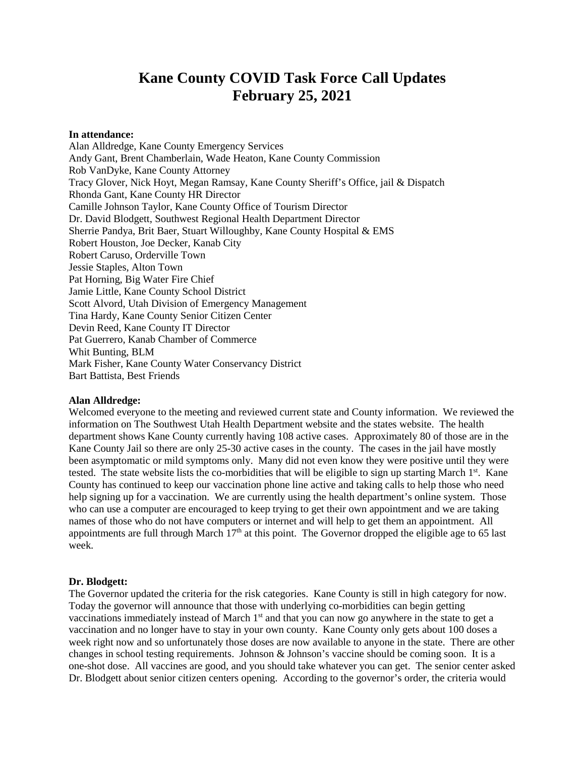# **Kane County COVID Task Force Call Updates February 25, 2021**

#### **In attendance:**

Alan Alldredge, Kane County Emergency Services Andy Gant, Brent Chamberlain, Wade Heaton, Kane County Commission Rob VanDyke, Kane County Attorney Tracy Glover, Nick Hoyt, Megan Ramsay, Kane County Sheriff's Office, jail & Dispatch Rhonda Gant, Kane County HR Director Camille Johnson Taylor, Kane County Office of Tourism Director Dr. David Blodgett, Southwest Regional Health Department Director Sherrie Pandya, Brit Baer, Stuart Willoughby, Kane County Hospital & EMS Robert Houston, Joe Decker, Kanab City Robert Caruso, Orderville Town Jessie Staples, Alton Town Pat Horning, Big Water Fire Chief Jamie Little, Kane County School District Scott Alvord, Utah Division of Emergency Management Tina Hardy, Kane County Senior Citizen Center Devin Reed, Kane County IT Director Pat Guerrero, Kanab Chamber of Commerce Whit Bunting, BLM Mark Fisher, Kane County Water Conservancy District Bart Battista, Best Friends

#### **Alan Alldredge:**

Welcomed everyone to the meeting and reviewed current state and County information. We reviewed the information on The Southwest Utah Health Department website and the states website. The health department shows Kane County currently having 108 active cases. Approximately 80 of those are in the Kane County Jail so there are only 25-30 active cases in the county. The cases in the jail have mostly been asymptomatic or mild symptoms only. Many did not even know they were positive until they were tested. The state website lists the co-morbidities that will be eligible to sign up starting March  $1<sup>st</sup>$ . Kane County has continued to keep our vaccination phone line active and taking calls to help those who need help signing up for a vaccination. We are currently using the health department's online system. Those who can use a computer are encouraged to keep trying to get their own appointment and we are taking names of those who do not have computers or internet and will help to get them an appointment. All appointments are full through March  $17<sup>th</sup>$  at this point. The Governor dropped the eligible age to 65 last week.

#### **Dr. Blodgett:**

The Governor updated the criteria for the risk categories. Kane County is still in high category for now. Today the governor will announce that those with underlying co-morbidities can begin getting vaccinations immediately instead of March 1<sup>st</sup> and that you can now go anywhere in the state to get a vaccination and no longer have to stay in your own county. Kane County only gets about 100 doses a week right now and so unfortunately those doses are now available to anyone in the state. There are other changes in school testing requirements. Johnson & Johnson's vaccine should be coming soon. It is a one-shot dose. All vaccines are good, and you should take whatever you can get. The senior center asked Dr. Blodgett about senior citizen centers opening. According to the governor's order, the criteria would